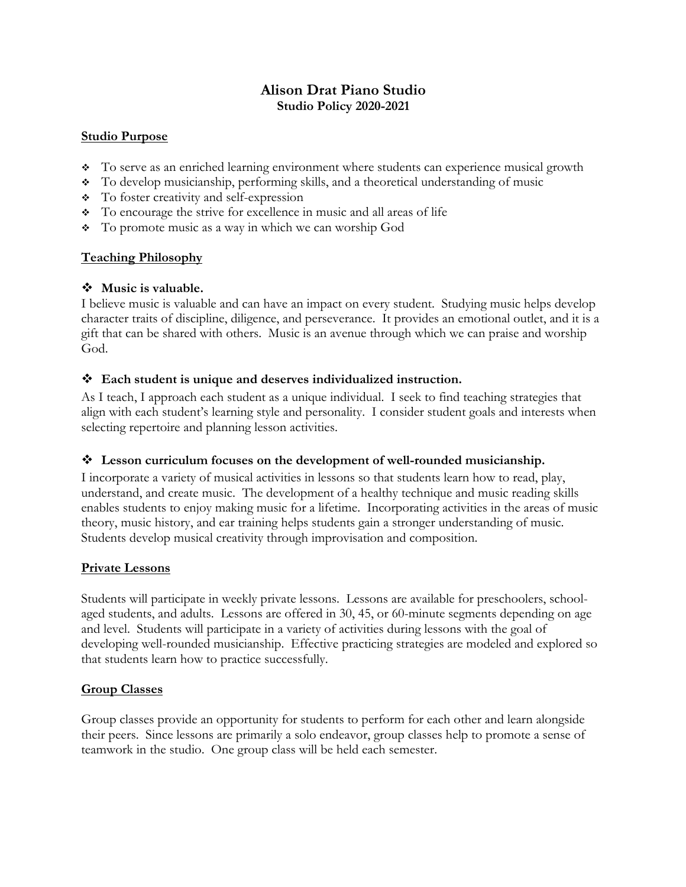# **Alison Drat Piano Studio Studio Policy 2020-2021**

## **Studio Purpose**

- To serve as an enriched learning environment where students can experience musical growth
- $\bullet$  To develop musicianship, performing skills, and a theoretical understanding of music
- v To foster creativity and self-expression
- v To encourage the strive for excellence in music and all areas of life
- v To promote music as a way in which we can worship God

## **Teaching Philosophy**

## $\div$  Music is valuable.

I believe music is valuable and can have an impact on every student. Studying music helps develop character traits of discipline, diligence, and perseverance. It provides an emotional outlet, and it is a gift that can be shared with others. Music is an avenue through which we can praise and worship God.

## v **Each student is unique and deserves individualized instruction.**

As I teach, I approach each student as a unique individual. I seek to find teaching strategies that align with each student's learning style and personality. I consider student goals and interests when selecting repertoire and planning lesson activities.

#### v **Lesson curriculum focuses on the development of well-rounded musicianship.**

I incorporate a variety of musical activities in lessons so that students learn how to read, play, understand, and create music. The development of a healthy technique and music reading skills enables students to enjoy making music for a lifetime. Incorporating activities in the areas of music theory, music history, and ear training helps students gain a stronger understanding of music. Students develop musical creativity through improvisation and composition.

## **Private Lessons**

Students will participate in weekly private lessons. Lessons are available for preschoolers, schoolaged students, and adults. Lessons are offered in 30, 45, or 60-minute segments depending on age and level. Students will participate in a variety of activities during lessons with the goal of developing well-rounded musicianship. Effective practicing strategies are modeled and explored so that students learn how to practice successfully.

#### **Group Classes**

Group classes provide an opportunity for students to perform for each other and learn alongside their peers. Since lessons are primarily a solo endeavor, group classes help to promote a sense of teamwork in the studio. One group class will be held each semester.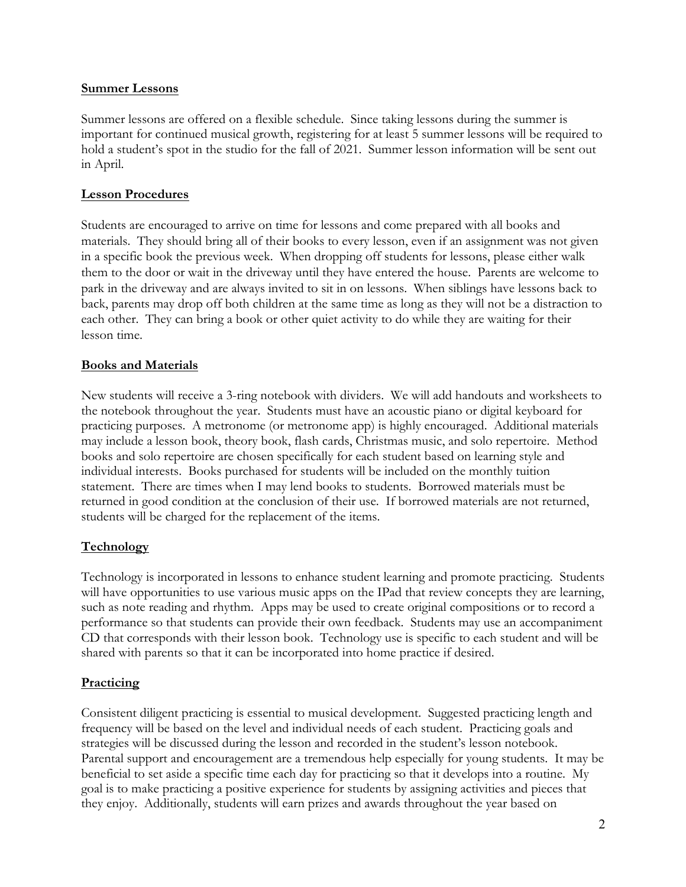#### **Summer Lessons**

Summer lessons are offered on a flexible schedule. Since taking lessons during the summer is important for continued musical growth, registering for at least 5 summer lessons will be required to hold a student's spot in the studio for the fall of 2021. Summer lesson information will be sent out in April.

#### **Lesson Procedures**

Students are encouraged to arrive on time for lessons and come prepared with all books and materials. They should bring all of their books to every lesson, even if an assignment was not given in a specific book the previous week. When dropping off students for lessons, please either walk them to the door or wait in the driveway until they have entered the house. Parents are welcome to park in the driveway and are always invited to sit in on lessons. When siblings have lessons back to back, parents may drop off both children at the same time as long as they will not be a distraction to each other. They can bring a book or other quiet activity to do while they are waiting for their lesson time.

#### **Books and Materials**

New students will receive a 3-ring notebook with dividers. We will add handouts and worksheets to the notebook throughout the year. Students must have an acoustic piano or digital keyboard for practicing purposes. A metronome (or metronome app) is highly encouraged. Additional materials may include a lesson book, theory book, flash cards, Christmas music, and solo repertoire. Method books and solo repertoire are chosen specifically for each student based on learning style and individual interests. Books purchased for students will be included on the monthly tuition statement. There are times when I may lend books to students. Borrowed materials must be returned in good condition at the conclusion of their use. If borrowed materials are not returned, students will be charged for the replacement of the items.

#### **Technology**

Technology is incorporated in lessons to enhance student learning and promote practicing. Students will have opportunities to use various music apps on the IPad that review concepts they are learning, such as note reading and rhythm. Apps may be used to create original compositions or to record a performance so that students can provide their own feedback. Students may use an accompaniment CD that corresponds with their lesson book. Technology use is specific to each student and will be shared with parents so that it can be incorporated into home practice if desired.

#### **Practicing**

Consistent diligent practicing is essential to musical development. Suggested practicing length and frequency will be based on the level and individual needs of each student. Practicing goals and strategies will be discussed during the lesson and recorded in the student's lesson notebook. Parental support and encouragement are a tremendous help especially for young students. It may be beneficial to set aside a specific time each day for practicing so that it develops into a routine. My goal is to make practicing a positive experience for students by assigning activities and pieces that they enjoy. Additionally, students will earn prizes and awards throughout the year based on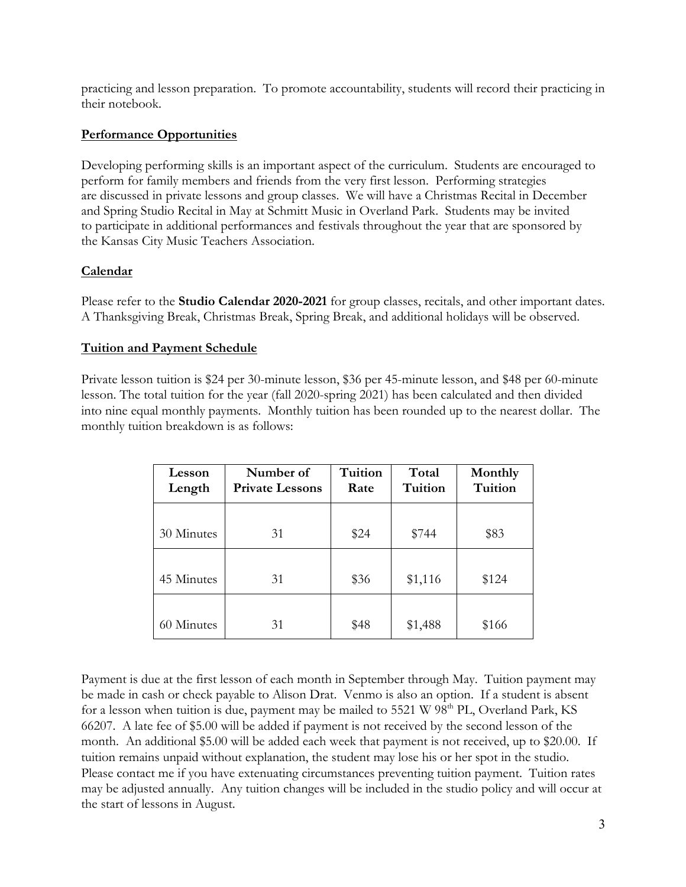practicing and lesson preparation. To promote accountability, students will record their practicing in their notebook.

## **Performance Opportunities**

Developing performing skills is an important aspect of the curriculum. Students are encouraged to perform for family members and friends from the very first lesson. Performing strategies are discussed in private lessons and group classes. We will have a Christmas Recital in December and Spring Studio Recital in May at Schmitt Music in Overland Park. Students may be invited to participate in additional performances and festivals throughout the year that are sponsored by the Kansas City Music Teachers Association.

## **Calendar**

Please refer to the **Studio Calendar 2020-2021** for group classes, recitals, and other important dates. A Thanksgiving Break, Christmas Break, Spring Break, and additional holidays will be observed.

## **Tuition and Payment Schedule**

Private lesson tuition is \$24 per 30-minute lesson, \$36 per 45-minute lesson, and \$48 per 60-minute lesson. The total tuition for the year (fall 2020-spring 2021) has been calculated and then divided into nine equal monthly payments. Monthly tuition has been rounded up to the nearest dollar. The monthly tuition breakdown is as follows:

| Lesson<br>Length | Number of<br><b>Private Lessons</b> | Tuition<br>Rate | Total<br>Tuition | Monthly<br>Tuition |
|------------------|-------------------------------------|-----------------|------------------|--------------------|
|                  |                                     |                 |                  |                    |
| 30 Minutes       | 31                                  | \$24            | \$744            | \$83               |
|                  |                                     |                 |                  |                    |
| 45 Minutes       | 31                                  | \$36            | \$1,116          | \$124              |
|                  |                                     |                 |                  |                    |
| 60 Minutes       | 31                                  | \$48            | \$1,488          | \$166              |

Payment is due at the first lesson of each month in September through May. Tuition payment may be made in cash or check payable to Alison Drat. Venmo is also an option. If a student is absent for a lesson when tuition is due, payment may be mailed to  $5521 \text{ W } 98^{\text{th}}$  PL, Overland Park, KS 66207. A late fee of \$5.00 will be added if payment is not received by the second lesson of the month. An additional \$5.00 will be added each week that payment is not received, up to \$20.00. If tuition remains unpaid without explanation, the student may lose his or her spot in the studio. Please contact me if you have extenuating circumstances preventing tuition payment. Tuition rates may be adjusted annually. Any tuition changes will be included in the studio policy and will occur at the start of lessons in August.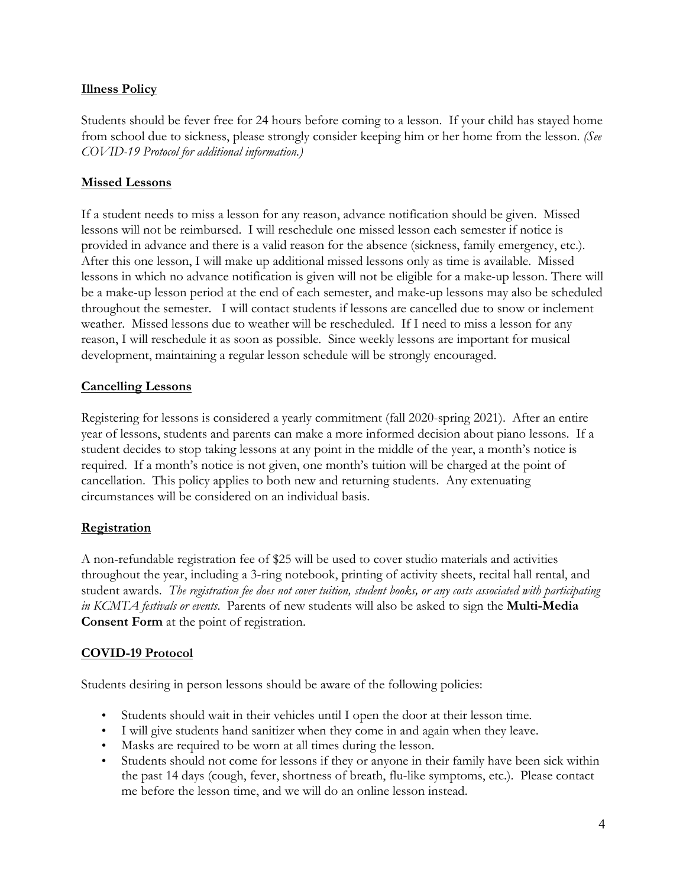## **Illness Policy**

Students should be fever free for 24 hours before coming to a lesson. If your child has stayed home from school due to sickness, please strongly consider keeping him or her home from the lesson. *(See COVID-19 Protocol for additional information.)*

## **Missed Lessons**

If a student needs to miss a lesson for any reason, advance notification should be given. Missed lessons will not be reimbursed. I will reschedule one missed lesson each semester if notice is provided in advance and there is a valid reason for the absence (sickness, family emergency, etc.). After this one lesson, I will make up additional missed lessons only as time is available. Missed lessons in which no advance notification is given will not be eligible for a make-up lesson. There will be a make-up lesson period at the end of each semester, and make-up lessons may also be scheduled throughout the semester. I will contact students if lessons are cancelled due to snow or inclement weather. Missed lessons due to weather will be rescheduled. If I need to miss a lesson for any reason, I will reschedule it as soon as possible. Since weekly lessons are important for musical development, maintaining a regular lesson schedule will be strongly encouraged.

## **Cancelling Lessons**

Registering for lessons is considered a yearly commitment (fall 2020-spring 2021). After an entire year of lessons, students and parents can make a more informed decision about piano lessons. If a student decides to stop taking lessons at any point in the middle of the year, a month's notice is required. If a month's notice is not given, one month's tuition will be charged at the point of cancellation. This policy applies to both new and returning students. Any extenuating circumstances will be considered on an individual basis.

## **Registration**

A non-refundable registration fee of \$25 will be used to cover studio materials and activities throughout the year, including a 3-ring notebook, printing of activity sheets, recital hall rental, and student awards. *The registration fee does not cover tuition, student books, or any costs associated with participating in KCMTA festivals or events*. Parents of new students will also be asked to sign the **Multi-Media Consent Form** at the point of registration.

# **COVID-19 Protocol**

Students desiring in person lessons should be aware of the following policies:

- Students should wait in their vehicles until I open the door at their lesson time.
- I will give students hand sanitizer when they come in and again when they leave.
- Masks are required to be worn at all times during the lesson.
- Students should not come for lessons if they or anyone in their family have been sick within the past 14 days (cough, fever, shortness of breath, flu-like symptoms, etc.). Please contact me before the lesson time, and we will do an online lesson instead.